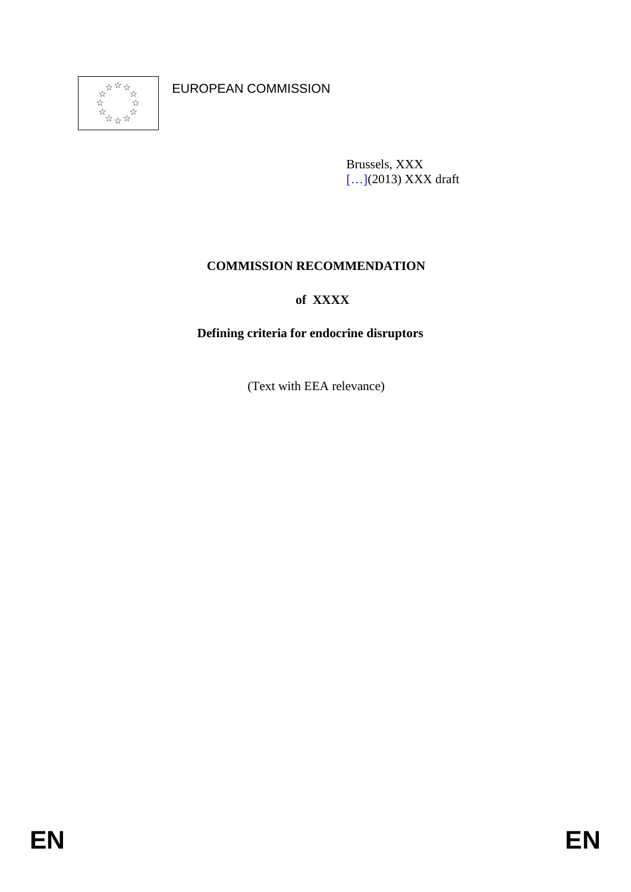

EUROPEAN COMMISSION

Brussels, XXX [...](2013) XXX draft

## **COMMISSION RECOMMENDATION**

# **of XXXX**

## **Defining criteria for endocrine disruptors**

(Text with EEA relevance)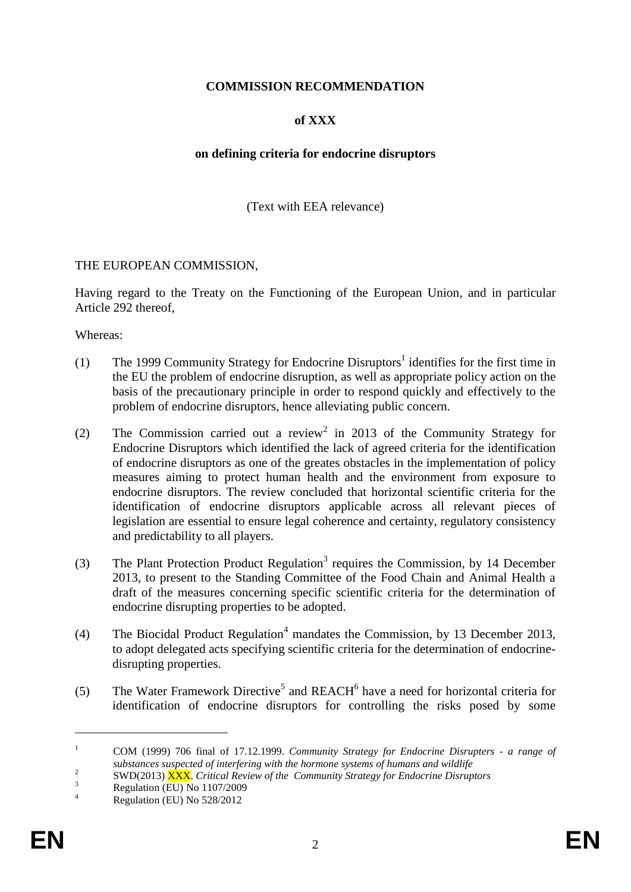## **COMMISSION RECOMMENDATION**

## **of XXX**

#### **on defining criteria for endocrine disruptors**

(Text with EEA relevance)

#### THE EUROPEAN COMMISSION,

Having regard to the Treaty on the Functioning of the European Union, and in particular Article 292 thereof,

Whereas:

- (1) The 1999 Community Strategy for Endocrine Disruptors<sup>1</sup> identifies for the first time in the EU the problem of endocrine disruption, as well as appropriate policy action on the basis of the precautionary principle in order to respond quickly and effectively to the problem of endocrine disruptors, hence alleviating public concern.
- (2) The Commission carried out a review<sup>2</sup> in 2013 of the Community Strategy for Endocrine Disruptors which identified the lack of agreed criteria for the identification of endocrine disruptors as one of the greates obstacles in the implementation of policy measures aiming to protect human health and the environment from exposure to endocrine disruptors. The review concluded that horizontal scientific criteria for the identification of endocrine disruptors applicable across all relevant pieces of legislation are essential to ensure legal coherence and certainty, regulatory consistency and predictability to all players.
- (3) The Plant Protection Product Regulation<sup>3</sup> requires the Commission, by 14 December 2013, to present to the Standing Committee of the Food Chain and Animal Health a draft of the measures concerning specific scientific criteria for the determination of endocrine disrupting properties to be adopted.
- (4) The Biocidal Product Regulation<sup>4</sup> mandates the Commission, by 13 December 2013, to adopt delegated acts specifying scientific criteria for the determination of endocrinedisrupting properties.
- (5) The Water Framework Directive<sup>5</sup> and REACH $^6$  have a need for horizontal criteria for identification of endocrine disruptors for controlling the risks posed by some

<u>.</u>

<sup>1</sup> COM (1999) 706 final of 17.12.1999. *Community Strategy for Endocrine Disrupters - a range of substances suspected of interfering with the hormone systems of humans and wildlife*

<sup>2</sup> SWD(2013) XXX. *Critical Review of the Community Strategy for Endocrine Disruptors*

 $\frac{3}{4}$  Regulation (EU) No 1107/2009

Regulation (EU) No 528/2012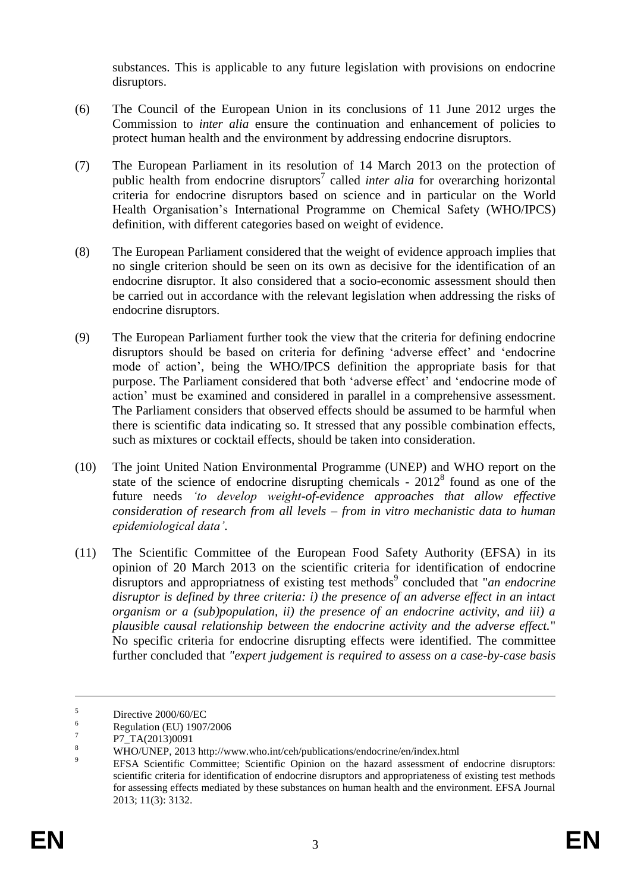substances. This is applicable to any future legislation with provisions on endocrine disruptors.

- (6) The Council of the European Union in its conclusions of 11 June 2012 urges the Commission to *inter alia* ensure the continuation and enhancement of policies to protect human health and the environment by addressing endocrine disruptors.
- (7) The European Parliament in its resolution of 14 March 2013 on the protection of public health from endocrine disruptors<sup>7</sup> called *inter alia* for overarching horizontal criteria for endocrine disruptors based on science and in particular on the World Health Organisation's International Programme on Chemical Safety (WHO/IPCS) definition, with different categories based on weight of evidence.
- (8) The European Parliament considered that the weight of evidence approach implies that no single criterion should be seen on its own as decisive for the identification of an endocrine disruptor. It also considered that a socio-economic assessment should then be carried out in accordance with the relevant legislation when addressing the risks of endocrine disruptors.
- (9) The European Parliament further took the view that the criteria for defining endocrine disruptors should be based on criteria for defining 'adverse effect' and 'endocrine mode of action', being the WHO/IPCS definition the appropriate basis for that purpose. The Parliament considered that both 'adverse effect' and 'endocrine mode of action' must be examined and considered in parallel in a comprehensive assessment. The Parliament considers that observed effects should be assumed to be harmful when there is scientific data indicating so. It stressed that any possible combination effects, such as mixtures or cocktail effects, should be taken into consideration.
- (10) The joint United Nation Environmental Programme (UNEP) and WHO report on the state of the science of endocrine disrupting chemicals -  $2012<sup>8</sup>$  found as one of the future needs *'to develop weight-of-evidence approaches that allow effective consideration of research from all levels – from in vitro mechanistic data to human epidemiological data'*.
- (11) The Scientific Committee of the European Food Safety Authority (EFSA) in its opinion of 20 March 2013 on the scientific criteria for identification of endocrine disruptors and appropriatness of existing test methods<sup>9</sup> concluded that "*an endocrine disruptor is defined by three criteria: i) the presence of an adverse effect in an intact organism or a (sub)population, ii) the presence of an endocrine activity, and iii) a plausible causal relationship between the endocrine activity and the adverse effect.*" No specific criteria for endocrine disrupting effects were identified. The committee further concluded that *"expert judgement is required to assess on a case-by-case basis*

 $\overline{a}$ 

 $\frac{5}{6}$  Directive 2000/60/EC

<sup>6</sup> Regulation (EU) 1907/2006

<sup>7</sup> P7\_TA(2013)0091

<sup>8</sup> WHO/UNEP, 2013 http://www.who.int/ceh/publications/endocrine/en/index.html

<sup>9</sup> EFSA Scientific Committee; Scientific Opinion on the hazard assessment of endocrine disruptors: scientific criteria for identification of endocrine disruptors and appropriateness of existing test methods for assessing effects mediated by these substances on human health and the environment. EFSA Journal 2013; 11(3): 3132.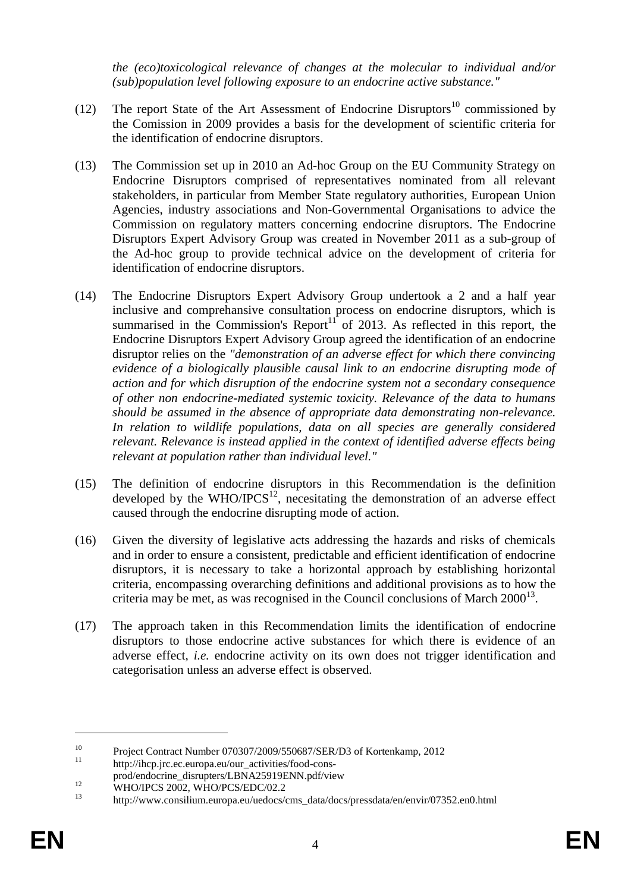*the (eco)toxicological relevance of changes at the molecular to individual and/or (sub)population level following exposure to an endocrine active substance."*

- (12) The report State of the Art Assessment of Endocrine Disruptors<sup>10</sup> commissioned by the Comission in 2009 provides a basis for the development of scientific criteria for the identification of endocrine disruptors.
- (13) The Commission set up in 2010 an Ad-hoc Group on the EU Community Strategy on Endocrine Disruptors comprised of representatives nominated from all relevant stakeholders, in particular from Member State regulatory authorities, European Union Agencies, industry associations and Non-Governmental Organisations to advice the Commission on regulatory matters concerning endocrine disruptors. The Endocrine Disruptors Expert Advisory Group was created in November 2011 as a sub-group of the Ad-hoc group to provide technical advice on the development of criteria for identification of endocrine disruptors.
- (14) The Endocrine Disruptors Expert Advisory Group undertook a 2 and a half year inclusive and comprehansive consultation process on endocrine disruptors, which is summarised in the Commission's Report $11$  of 2013. As reflected in this report, the Endocrine Disruptors Expert Advisory Group agreed the identification of an endocrine disruptor relies on the *"demonstration of an adverse effect for which there convincing evidence of a biologically plausible causal link to an endocrine disrupting mode of action and for which disruption of the endocrine system not a secondary consequence of other non endocrine-mediated systemic toxicity. Relevance of the data to humans should be assumed in the absence of appropriate data demonstrating non-relevance. In relation to wildlife populations, data on all species are generally considered relevant. Relevance is instead applied in the context of identified adverse effects being relevant at population rather than individual level."*
- (15) The definition of endocrine disruptors in this Recommendation is the definition developed by the WHO/IPCS<sup>12</sup>, necesitating the demonstration of an adverse effect caused through the endocrine disrupting mode of action.
- (16) Given the diversity of legislative acts addressing the hazards and risks of chemicals and in order to ensure a consistent, predictable and efficient identification of endocrine disruptors, it is necessary to take a horizontal approach by establishing horizontal criteria, encompassing overarching definitions and additional provisions as to how the criteria may be met, as was recognised in the Council conclusions of March  $2000^{13}$ .
- (17) The approach taken in this Recommendation limits the identification of endocrine disruptors to those endocrine active substances for which there is evidence of an adverse effect, *i.e.* endocrine activity on its own does not trigger identification and categorisation unless an adverse effect is observed.

<u>.</u>

<sup>&</sup>lt;sup>10</sup> Project Contract Number 070307/2009/550687/SER/D3 of Kortenkamp, 2012

http://ihcp.jrc.ec.europa.eu/our\_activities/food-cons-

prod/endocrine\_disrupters/LBNA25919ENN.pdf/view

<sup>&</sup>lt;sup>12</sup> WHO/IPCS 2002, WHO/PCS/EDC/02.2<br><sup>13</sup> http://www.consilium.currenc.cu/undoos/

<sup>13</sup> http://www.consilium.europa.eu/uedocs/cms\_data/docs/pressdata/en/envir/07352.en0.html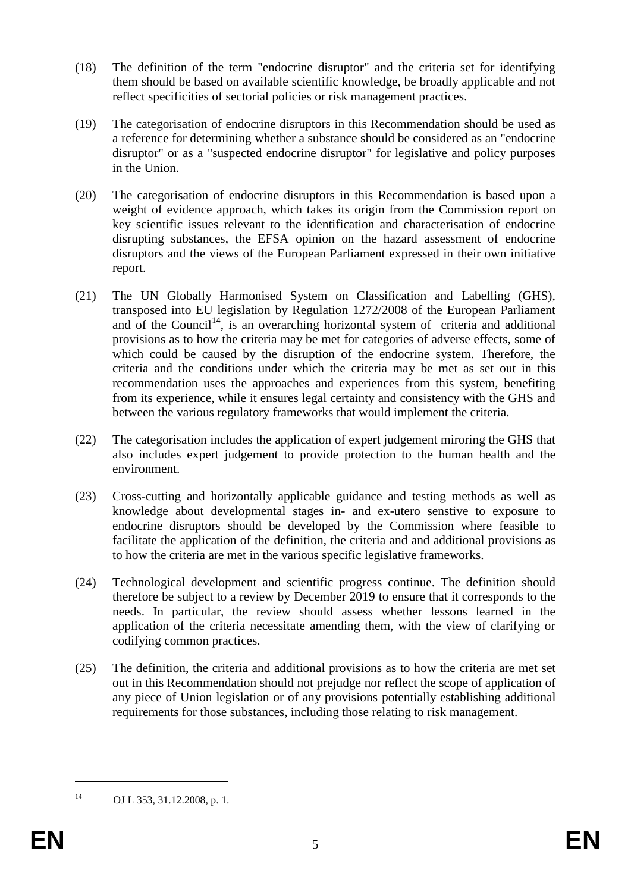- (18) The definition of the term "endocrine disruptor" and the criteria set for identifying them should be based on available scientific knowledge, be broadly applicable and not reflect specificities of sectorial policies or risk management practices.
- (19) The categorisation of endocrine disruptors in this Recommendation should be used as a reference for determining whether a substance should be considered as an "endocrine disruptor" or as a "suspected endocrine disruptor" for legislative and policy purposes in the Union.
- (20) The categorisation of endocrine disruptors in this Recommendation is based upon a weight of evidence approach, which takes its origin from the Commission report on key scientific issues relevant to the identification and characterisation of endocrine disrupting substances, the EFSA opinion on the hazard assessment of endocrine disruptors and the views of the European Parliament expressed in their own initiative report.
- (21) The UN Globally Harmonised System on Classification and Labelling (GHS), transposed into EU legislation by Regulation 1272/2008 of the European Parliament and of the Council<sup>14</sup>, is an overarching horizontal system of criteria and additional provisions as to how the criteria may be met for categories of adverse effects, some of which could be caused by the disruption of the endocrine system. Therefore, the criteria and the conditions under which the criteria may be met as set out in this recommendation uses the approaches and experiences from this system, benefiting from its experience, while it ensures legal certainty and consistency with the GHS and between the various regulatory frameworks that would implement the criteria.
- (22) The categorisation includes the application of expert judgement miroring the GHS that also includes expert judgement to provide protection to the human health and the environment.
- (23) Cross-cutting and horizontally applicable guidance and testing methods as well as knowledge about developmental stages in- and ex-utero senstive to exposure to endocrine disruptors should be developed by the Commission where feasible to facilitate the application of the definition, the criteria and and additional provisions as to how the criteria are met in the various specific legislative frameworks.
- (24) Technological development and scientific progress continue. The definition should therefore be subject to a review by December 2019 to ensure that it corresponds to the needs. In particular, the review should assess whether lessons learned in the application of the criteria necessitate amending them, with the view of clarifying or codifying common practices.
- (25) The definition, the criteria and additional provisions as to how the criteria are met set out in this Recommendation should not prejudge nor reflect the scope of application of any piece of Union legislation or of any provisions potentially establishing additional requirements for those substances, including those relating to risk management.

1

<sup>14</sup> OJ L 353, 31.12.2008, p. 1.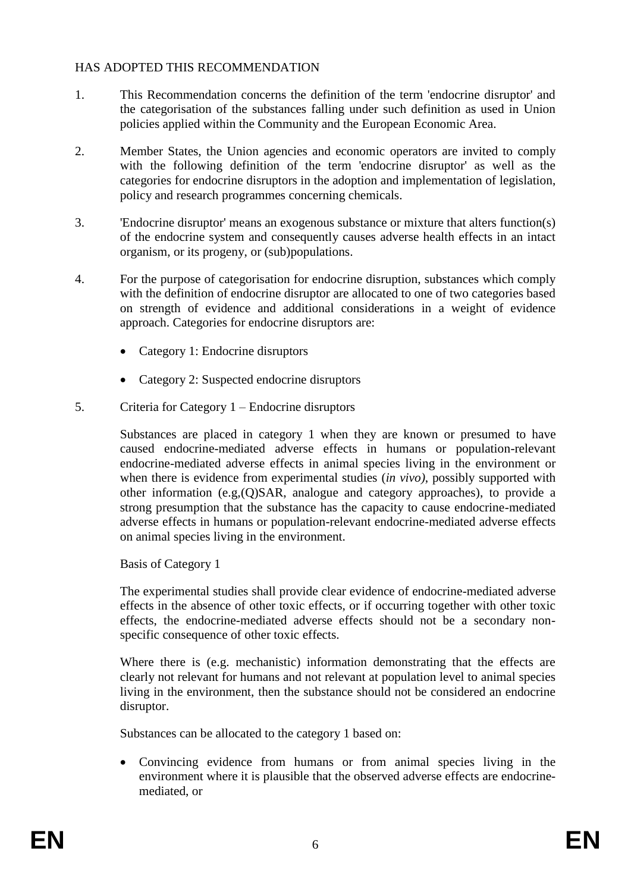## HAS ADOPTED THIS RECOMMENDATION

- 1. This Recommendation concerns the definition of the term 'endocrine disruptor' and the categorisation of the substances falling under such definition as used in Union policies applied within the Community and the European Economic Area.
- 2. Member States, the Union agencies and economic operators are invited to comply with the following definition of the term 'endocrine disruptor' as well as the categories for endocrine disruptors in the adoption and implementation of legislation, policy and research programmes concerning chemicals.
- 3. 'Endocrine disruptor' means an exogenous substance or mixture that alters function(s) of the endocrine system and consequently causes adverse health effects in an intact organism, or its progeny, or (sub)populations.
- 4. For the purpose of categorisation for endocrine disruption, substances which comply with the definition of endocrine disruptor are allocated to one of two categories based on strength of evidence and additional considerations in a weight of evidence approach. Categories for endocrine disruptors are:
	- Category 1: Endocrine disruptors
	- Category 2: Suspected endocrine disruptors
- 5. Criteria for Category 1 Endocrine disruptors

Substances are placed in category 1 when they are known or presumed to have caused endocrine-mediated adverse effects in humans or population-relevant endocrine-mediated adverse effects in animal species living in the environment or when there is evidence from experimental studies (*in vivo)*, possibly supported with other information (e.g*,*(Q)SAR, analogue and category approaches), to provide a strong presumption that the substance has the capacity to cause endocrine-mediated adverse effects in humans or population-relevant endocrine-mediated adverse effects on animal species living in the environment.

Basis of Category 1

The experimental studies shall provide clear evidence of endocrine-mediated adverse effects in the absence of other toxic effects, or if occurring together with other toxic effects, the endocrine-mediated adverse effects should not be a secondary nonspecific consequence of other toxic effects.

Where there is (e.g. mechanistic) information demonstrating that the effects are clearly not relevant for humans and not relevant at population level to animal species living in the environment, then the substance should not be considered an endocrine disruptor.

Substances can be allocated to the category 1 based on:

 Convincing evidence from humans or from animal species living in the environment where it is plausible that the observed adverse effects are endocrinemediated, or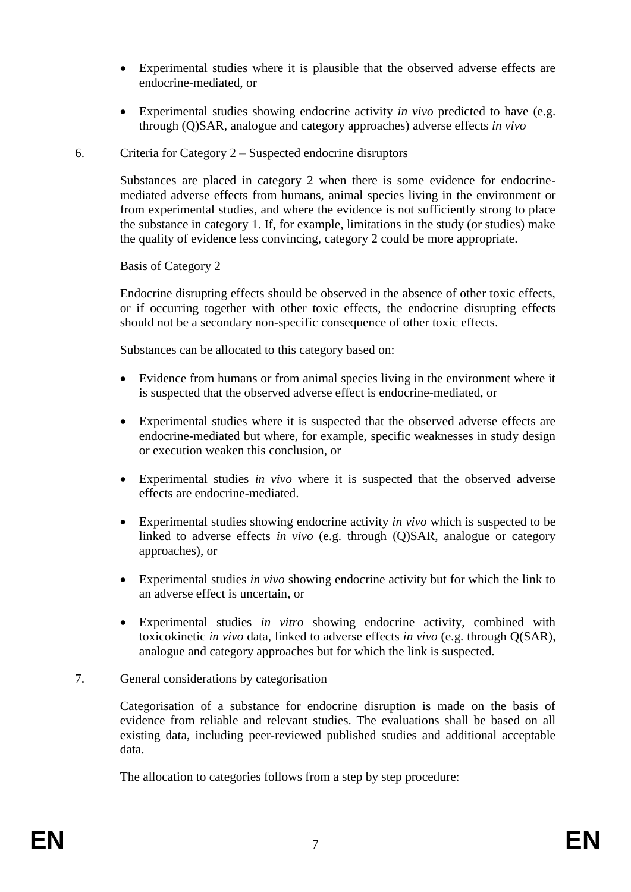- Experimental studies where it is plausible that the observed adverse effects are endocrine-mediated, or
- Experimental studies showing endocrine activity *in vivo* predicted to have (e.g. through (Q)SAR, analogue and category approaches) adverse effects *in vivo*
- 6. Criteria for Category 2 Suspected endocrine disruptors

Substances are placed in category 2 when there is some evidence for endocrinemediated adverse effects from humans, animal species living in the environment or from experimental studies, and where the evidence is not sufficiently strong to place the substance in category 1. If, for example, limitations in the study (or studies) make the quality of evidence less convincing, category 2 could be more appropriate.

Basis of Category 2

Endocrine disrupting effects should be observed in the absence of other toxic effects, or if occurring together with other toxic effects, the endocrine disrupting effects should not be a secondary non-specific consequence of other toxic effects.

Substances can be allocated to this category based on:

- Evidence from humans or from animal species living in the environment where it is suspected that the observed adverse effect is endocrine-mediated, or
- Experimental studies where it is suspected that the observed adverse effects are endocrine-mediated but where, for example, specific weaknesses in study design or execution weaken this conclusion, or
- Experimental studies *in vivo* where it is suspected that the observed adverse effects are endocrine-mediated.
- Experimental studies showing endocrine activity *in vivo* which is suspected to be linked to adverse effects *in vivo* (e.g. through (Q)SAR, analogue or category approaches), or
- Experimental studies *in vivo* showing endocrine activity but for which the link to an adverse effect is uncertain, or
- Experimental studies *in vitro* showing endocrine activity, combined with toxicokinetic *in vivo* data, linked to adverse effects *in vivo* (e.g. through Q(SAR), analogue and category approaches but for which the link is suspected.

#### 7. General considerations by categorisation

Categorisation of a substance for endocrine disruption is made on the basis of evidence from reliable and relevant studies. The evaluations shall be based on all existing data, including peer-reviewed published studies and additional acceptable data.

The allocation to categories follows from a step by step procedure: